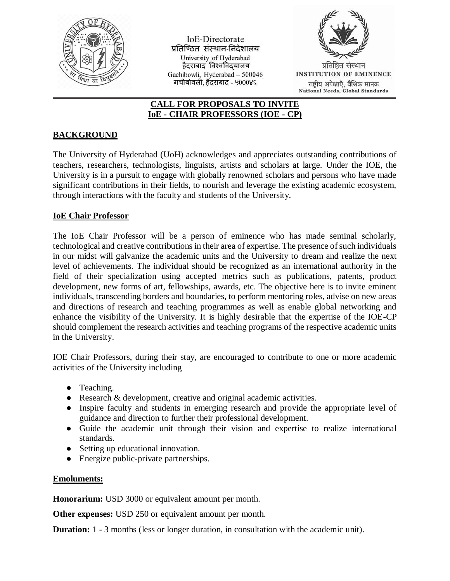

IoE-Directorate प्रतिष्ठित संस्थान-निदेशालय University of Hyderabad हैदराबाद<sup>ॅ</sup>विश्वविद्यालय Gachibowli, Hyderabad - 500046 गचीबोवली, हैंदराबाद - ५000४६



National Needs, Global Standards

## **CALL FOR PROPOSALS TO INVITE IoE - CHAIR PROFESSORS (IOE - CP)**

## **BACKGROUND**

The University of Hyderabad (UoH) acknowledges and appreciates outstanding contributions of teachers, researchers, technologists, linguists, artists and scholars at large. Under the IOE, the University is in a pursuit to engage with globally renowned scholars and persons who have made significant contributions in their fields, to nourish and leverage the existing academic ecosystem, through interactions with the faculty and students of the University.

## **IoE Chair Professor**

The IoE Chair Professor will be a person of eminence who has made seminal scholarly, technological and creative contributions in their area of expertise. The presence of such individuals in our midst will galvanize the academic units and the University to dream and realize the next level of achievements. The individual should be recognized as an international authority in the field of their specialization using accepted metrics such as publications, patents, product development, new forms of art, fellowships, awards, etc. The objective here is to invite eminent individuals, transcending borders and boundaries, to perform mentoring roles, advise on new areas and directions of research and teaching programmes as well as enable global networking and enhance the visibility of the University. It is highly desirable that the expertise of the IOE-CP should complement the research activities and teaching programs of the respective academic units in the University.

IOE Chair Professors, during their stay, are encouraged to contribute to one or more academic activities of the University including

- Teaching.
- Research & development, creative and original academic activities.
- Inspire faculty and students in emerging research and provide the appropriate level of guidance and direction to further their professional development.
- Guide the academic unit through their vision and expertise to realize international standards.
- Setting up educational innovation.
- Energize public-private partnerships.

## **Emoluments:**

**Honorarium:** USD 3000 or equivalent amount per month.

**Other expenses:** USD 250 or equivalent amount per month.

**Duration:** 1 - 3 months (less or longer duration, in consultation with the academic unit).